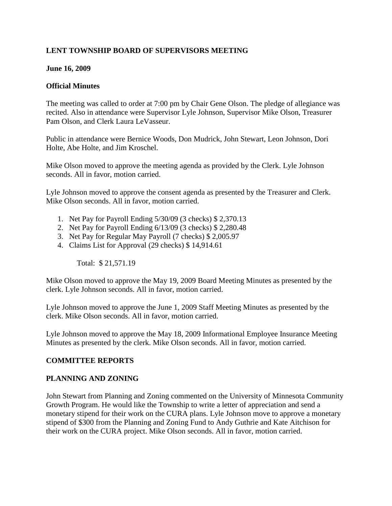# **LENT TOWNSHIP BOARD OF SUPERVISORS MEETING**

### **June 16, 2009**

### **Official Minutes**

The meeting was called to order at 7:00 pm by Chair Gene Olson. The pledge of allegiance was recited. Also in attendance were Supervisor Lyle Johnson, Supervisor Mike Olson, Treasurer Pam Olson, and Clerk Laura LeVasseur.

Public in attendance were Bernice Woods, Don Mudrick, John Stewart, Leon Johnson, Dori Holte, Abe Holte, and Jim Kroschel.

Mike Olson moved to approve the meeting agenda as provided by the Clerk. Lyle Johnson seconds. All in favor, motion carried.

Lyle Johnson moved to approve the consent agenda as presented by the Treasurer and Clerk. Mike Olson seconds. All in favor, motion carried.

- 1. Net Pay for Payroll Ending 5/30/09 (3 checks) \$ 2,370.13
- 2. Net Pay for Payroll Ending 6/13/09 (3 checks) \$ 2,280.48
- 3. Net Pay for Regular May Payroll (7 checks) \$ 2,005.97
- 4. Claims List for Approval (29 checks) \$ 14,914.61

Total: \$ 21,571.19

Mike Olson moved to approve the May 19, 2009 Board Meeting Minutes as presented by the clerk. Lyle Johnson seconds. All in favor, motion carried.

Lyle Johnson moved to approve the June 1, 2009 Staff Meeting Minutes as presented by the clerk. Mike Olson seconds. All in favor, motion carried.

Lyle Johnson moved to approve the May 18, 2009 Informational Employee Insurance Meeting Minutes as presented by the clerk. Mike Olson seconds. All in favor, motion carried.

## **COMMITTEE REPORTS**

#### **PLANNING AND ZONING**

John Stewart from Planning and Zoning commented on the University of Minnesota Community Growth Program. He would like the Township to write a letter of appreciation and send a monetary stipend for their work on the CURA plans. Lyle Johnson move to approve a monetary stipend of \$300 from the Planning and Zoning Fund to Andy Guthrie and Kate Aitchison for their work on the CURA project. Mike Olson seconds. All in favor, motion carried.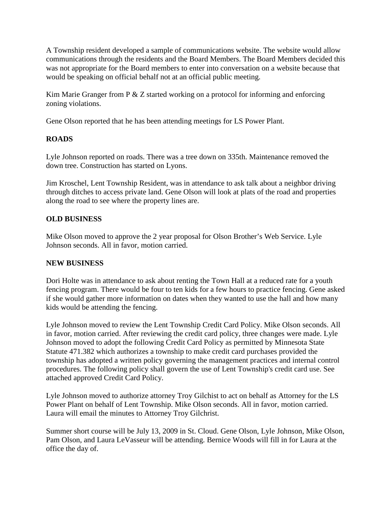A Township resident developed a sample of communications website. The website would allow communications through the residents and the Board Members. The Board Members decided this was not appropriate for the Board members to enter into conversation on a website because that would be speaking on official behalf not at an official public meeting.

Kim Marie Granger from P & Z started working on a protocol for informing and enforcing zoning violations.

Gene Olson reported that he has been attending meetings for LS Power Plant.

# **ROADS**

Lyle Johnson reported on roads. There was a tree down on 335th. Maintenance removed the down tree. Construction has started on Lyons.

Jim Kroschel, Lent Township Resident, was in attendance to ask talk about a neighbor driving through ditches to access private land. Gene Olson will look at plats of the road and properties along the road to see where the property lines are.

# **OLD BUSINESS**

Mike Olson moved to approve the 2 year proposal for Olson Brother's Web Service. Lyle Johnson seconds. All in favor, motion carried.

## **NEW BUSINESS**

Dori Holte was in attendance to ask about renting the Town Hall at a reduced rate for a youth fencing program. There would be four to ten kids for a few hours to practice fencing. Gene asked if she would gather more information on dates when they wanted to use the hall and how many kids would be attending the fencing.

Lyle Johnson moved to review the Lent Township Credit Card Policy. Mike Olson seconds. All in favor, motion carried. After reviewing the credit card policy, three changes were made. Lyle Johnson moved to adopt the following Credit Card Policy as permitted by Minnesota State Statute 471.382 which authorizes a township to make credit card purchases provided the township has adopted a written policy governing the management practices and internal control procedures. The following policy shall govern the use of Lent Township's credit card use. See attached approved Credit Card Policy.

Lyle Johnson moved to authorize attorney Troy Gilchist to act on behalf as Attorney for the LS Power Plant on behalf of Lent Township. Mike Olson seconds. All in favor, motion carried. Laura will email the minutes to Attorney Troy Gilchrist.

Summer short course will be July 13, 2009 in St. Cloud. Gene Olson, Lyle Johnson, Mike Olson, Pam Olson, and Laura LeVasseur will be attending. Bernice Woods will fill in for Laura at the office the day of.